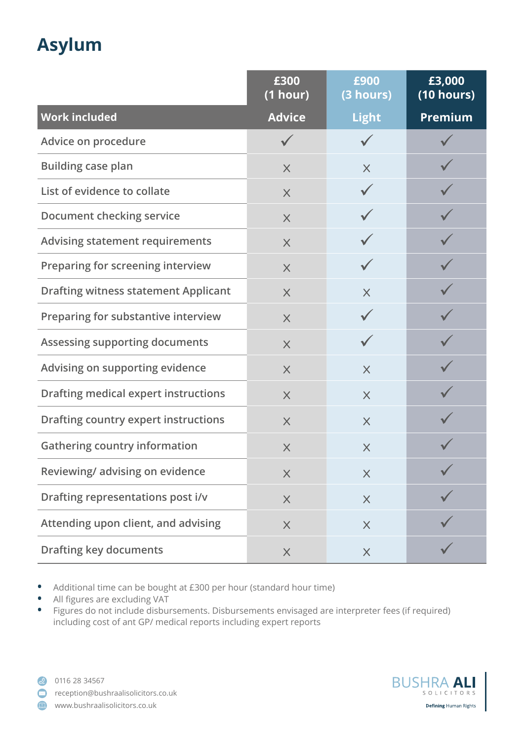## **Asylum**

|                                             | £300<br>(1 hour) | £900<br>(3 hours) | £3,000<br>(10 hours) |
|---------------------------------------------|------------------|-------------------|----------------------|
| <b>Work included</b>                        | <b>Advice</b>    | <b>Light</b>      | <b>Premium</b>       |
| Advice on procedure                         |                  |                   |                      |
| <b>Building case plan</b>                   | $\times$         | $\times$          |                      |
| List of evidence to collate                 | $\times$         |                   |                      |
| Document checking service                   | $\times$         |                   |                      |
| <b>Advising statement requirements</b>      | $\times$         |                   |                      |
| Preparing for screening interview           | $\times$         |                   |                      |
| <b>Drafting witness statement Applicant</b> | $\times$         | $\times$          |                      |
| Preparing for substantive interview         | $\times$         | $\checkmark$      |                      |
| <b>Assessing supporting documents</b>       | $\times$         |                   |                      |
| Advising on supporting evidence             | $\times$         | $\times$          |                      |
| <b>Drafting medical expert instructions</b> | $\times$         | $\times$          |                      |
| <b>Drafting country expert instructions</b> | $\times$         | $\times$          |                      |
| <b>Gathering country information</b>        | $\times$         | $\times$          |                      |
| Reviewing/advising on evidence              | $\times$         | $\times$          |                      |
| Drafting representations post i/v           | $\times$         | $\times$          |                      |
| Attending upon client, and advising         | $\times$         | $\times$          |                      |
| <b>Drafting key documents</b>               | $\times$         | $\times$          |                      |

**•** Additional time can be bought at £300 per hour (standard hour time)

- **•** All figures are excluding VAT
- **•** Figures do not include disbursements. Disbursements envisaged are interpreter fees (if required) including cost of ant GP/ medical reports including expert reports